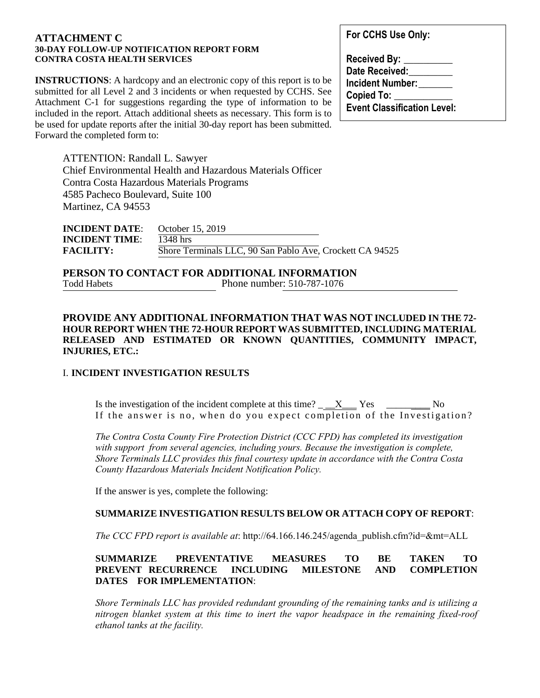#### **ATTACHMENT C 30-DAY FOLLOW-UP NOTIFICATION REPORT FORM CONTRA COSTA HEALTH SERVICES**

**INSTRUCTIONS:** A hardcopy and an electronic copy of this report is to be submitted for all Level 2 and 3 incidents or when requested by CCHS. See Attachment C-1 for suggestions regarding the type of information to be included in the report. Attach additional sheets as necessary. This form is to be used for update reports after the initial 30-day report has been submitted. Forward the completed form to:

**For CCHS Use Only:** 

| <b>Received By:</b>                |  |
|------------------------------------|--|
| Date Received:                     |  |
| <b>Incident Number:</b>            |  |
| <b>Copied To:</b>                  |  |
| <b>Event Classification Level:</b> |  |

ATTENTION: Randall L. Sawyer Chief Environmental Health and Hazardous Materials Officer Contra Costa Hazardous Materials Programs 4585 Pacheco Boulevard, Suite 100 Martinez, CA 94553

| <b>INCIDENT DATE:</b> | October 15, 2019                                         |  |
|-----------------------|----------------------------------------------------------|--|
| <b>INCIDENT TIME:</b> | $1348$ hrs                                               |  |
| <b>FACILITY:</b>      | Shore Terminals LLC, 90 San Pablo Ave, Crockett CA 94525 |  |

**PERSON TO CONTACT FOR ADDITIONAL INFORMATION**  Todd Habets Phone number: 510-787-1076

### **PROVIDE ANY ADDITIONAL INFORMATION THAT WAS NOT INCLUDED IN THE 72- HOUR REPORT WHEN THE 72-HOUR REPORT WAS SUBMITTED, INCLUDING MATERIAL RELEASED AND ESTIMATED OR KNOWN QUANTITIES, COMMUNITY IMPACT, INJURIES, ETC.:**

#### I. **INCIDENT INVESTIGATION RESULTS**

Is the investigation of the incident complete at this time?  $\underline{\hspace{1cm}}X$  Yes  $\underline{\hspace{1cm}}Y$ es  $\underline{\hspace{1cm}}N$ If the answer is no, when do you expect completion of the Investigation?

*The Contra Costa County Fire Protection District (CCC FPD) has completed its investigation with support from several agencies, including yours. Because the investigation is complete, Shore Terminals LLC provides this final courtesy update in accordance with the Contra Costa County Hazardous Materials Incident Notification Policy.*

If the answer is yes, complete the following:

#### **SUMMARIZE INVESTIGATION RESULTS BELOW OR ATTACH COPY OF REPORT**:

*The CCC FPD report is available at*: http://64.166.146.245/agenda\_publish.cfm?id=&mt=ALL

## **SUMMARIZE PREVENTATIVE MEASURES TO BE TAKEN TO PREVENT RECURRENCE INCLUDING MILESTONE AND COMPLETION DATES FOR IMPLEMENTATION**:

*Shore Terminals LLC has provided redundant grounding of the remaining tanks and is utilizing a nitrogen blanket system at this time to inert the vapor headspace in the remaining fixed-roof ethanol tanks at the facility.*